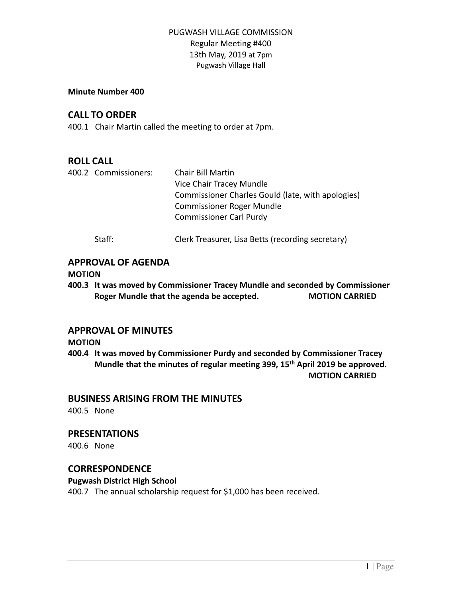#### **Minute Number 400**

## **CALL TO ORDER**

400.1 Chair Martin called the meeting to order at 7pm.

## **ROLL CALL**

|  | 400.2 Commissioners: | Chair Bill Martin                                 |
|--|----------------------|---------------------------------------------------|
|  |                      | Vice Chair Tracey Mundle                          |
|  |                      | Commissioner Charles Gould (late, with apologies) |
|  |                      | <b>Commissioner Roger Mundle</b>                  |
|  |                      | <b>Commissioner Carl Purdy</b>                    |
|  | Staff:               | Clerk Treasurer, Lisa Betts (recording secretary) |

## **APPROVAL OF AGENDA**

### **MOTION**

**400.3 It was moved by Commissioner Tracey Mundle and seconded by Commissioner Roger Mundle that the agenda be accepted. MOTION CARRIED**

## **APPROVAL OF MINUTES**

### **MOTION**

**400.4 It was moved by Commissioner Purdy and seconded by Commissioner Tracey Mundle that the minutes of regular meeting 399, 15 th April 2019 be approved. MOTION CARRIED**

## **BUSINESS ARISING FROM THE MINUTES**

400.5 None

# **PRESENTATIONS**

400.6 None

## **CORRESPONDENCE**

## **Pugwash District High School**

400.7 The annual scholarship request for \$1,000 has been received.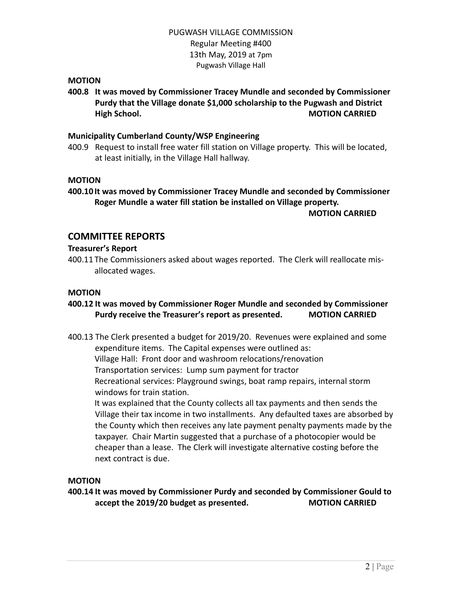### **MOTION**

**400.8 It was moved by Commissioner Tracey Mundle and seconded by Commissioner Purdy that the Village donate \$1,000 scholarship to the Pugwash and District High School. MOTION CARRIED**

### **Municipality Cumberland County/WSP Engineering**

400.9 Request to install free water fill station on Village property. This will be located, at least initially, in the Village Hall hallway.

### **MOTION**

**400.10 It was moved by Commissioner Tracey Mundle and seconded by Commissioner Roger Mundle a water fill station be installed on Village property.**

**MOTION CARRIED**

## **COMMITTEE REPORTS**

### **Treasurer's Report**

400.11 The Commissioners asked about wages reported. The Clerk will reallocate misallocated wages.

#### **MOTION**

### **400.12 It was moved by Commissioner Roger Mundle and seconded by Commissioner Purdy receive the Treasurer's report as presented. MOTION CARRIED**

- 400.13 The Clerk presented a budget for 2019/20. Revenues were explained and some expenditure items. The Capital expenses were outlined as: Village Hall: Front door and washroom relocations/renovation Transportation services: Lump sum payment for tractor Recreational services: Playground swings, boat ramp repairs, internal storm
	- windows for train station.

It was explained that the County collects all tax payments and then sends the Village their tax income in two installments. Any defaulted taxes are absorbed by the County which then receives any late payment penalty payments made by the taxpayer. Chair Martin suggested that a purchase of a photocopier would be cheaper than a lease. The Clerk will investigate alternative costing before the next contract is due.

### **MOTION**

**400.14 It was moved by Commissioner Purdy and seconded by Commissioner Gould to accept the 2019/20 budget as presented. MOTION CARRIED**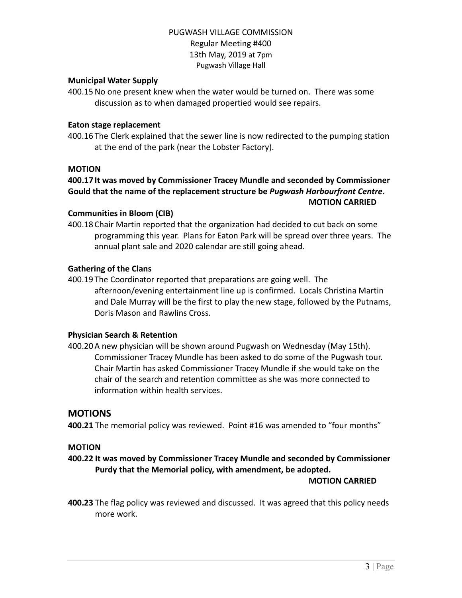### **Municipal Water Supply**

400.15No one present knew when the water would be turned on. There was some discussion as to when damaged propertied would see repairs.

### **Eaton stage replacement**

400.16 The Clerk explained that the sewer line is now redirected to the pumping station at the end of the park (near the Lobster Factory).

#### **MOTION**

## **400.17 It was moved by Commissioner Tracey Mundle and seconded by Commissioner Gould that the name of the replacement structure be** *Pugwash Harbourfront Centre***. MOTION CARRIED**

#### **Communities in Bloom (CIB)**

400.18 Chair Martin reported that the organization had decided to cut back on some programming this year. Plans for Eaton Park will be spread over three years. The annual plant sale and 2020 calendar are still going ahead.

#### **Gathering of the Clans**

400.19 The Coordinator reported that preparations are going well. The afternoon/evening entertainment line up is confirmed. Locals Christina Martin and Dale Murray will be the first to play the new stage, followed by the Putnams, Doris Mason and Rawlins Cross.

#### **Physician Search & Retention**

400.20A new physician will be shown around Pugwash on Wednesday (May 15th). Commissioner Tracey Mundle has been asked to do some of the Pugwash tour. Chair Martin has asked Commissioner Tracey Mundle if she would take on the chair of the search and retention committee as she was more connected to information within health services.

### **MOTIONS**

**400.21** The memorial policy was reviewed. Point #16 was amended to "four months"

### **MOTION**

**400.22 It was moved by Commissioner Tracey Mundle and seconded by Commissioner Purdy that the Memorial policy, with amendment, be adopted.**

#### **MOTION CARRIED**

**400.23** The flag policy was reviewed and discussed. It was agreed that this policy needs more work.